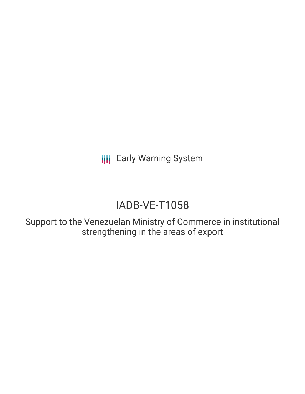**III** Early Warning System

# IADB-VE-T1058

Support to the Venezuelan Ministry of Commerce in institutional strengthening in the areas of export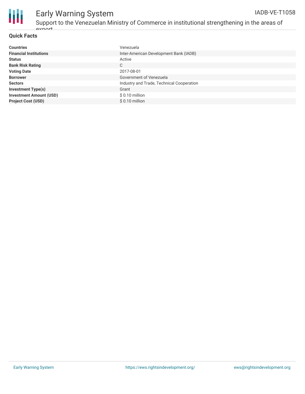

## Early Warning System

Support to the Venezuelan Ministry of Commerce in institutional strengthening in the areas of ovnort IADB-VE-T1058

### **Quick Facts**

| <b>Countries</b>               | Venezuela                                 |
|--------------------------------|-------------------------------------------|
| <b>Financial Institutions</b>  | Inter-American Development Bank (IADB)    |
| <b>Status</b>                  | Active                                    |
| <b>Bank Risk Rating</b>        | C                                         |
| <b>Voting Date</b>             | 2017-08-01                                |
| <b>Borrower</b>                | Government of Venezuela                   |
| <b>Sectors</b>                 | Industry and Trade, Technical Cooperation |
| <b>Investment Type(s)</b>      | Grant                                     |
| <b>Investment Amount (USD)</b> | $$0.10$ million                           |
| <b>Project Cost (USD)</b>      | $$0.10$ million                           |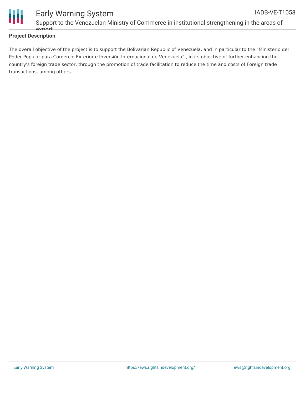

### **Project Description**

The overall objective of the project is to support the Bolivarian Republic of Venezuela, and in particular to the "Ministerio del Poder Popular para Comercio Exterior e Inversión Internacional de Venezuela" , in its objective of further enhancing the country's foreign trade sector, through the promotion of trade facilitation to reduce the time and costs of Foreign trade transactions, among others.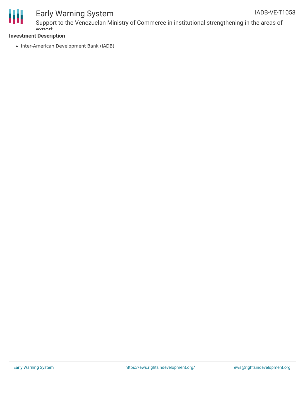

### Early Warning System

Support to the Venezuelan Ministry of Commerce in institutional strengthening in the areas of ovnort

### **Investment Description**

• Inter-American Development Bank (IADB)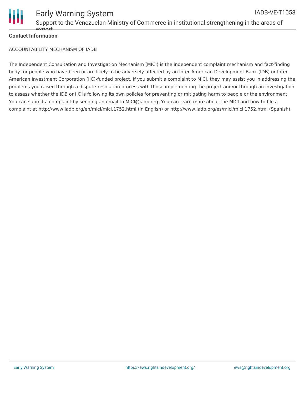

### **Contact Information**

ACCOUNTABILITY MECHANISM OF IADB

The Independent Consultation and Investigation Mechanism (MICI) is the independent complaint mechanism and fact-finding body for people who have been or are likely to be adversely affected by an Inter-American Development Bank (IDB) or Inter-American Investment Corporation (IIC)-funded project. If you submit a complaint to MICI, they may assist you in addressing the problems you raised through a dispute-resolution process with those implementing the project and/or through an investigation to assess whether the IDB or IIC is following its own policies for preventing or mitigating harm to people or the environment. You can submit a complaint by sending an email to MICI@iadb.org. You can learn more about the MICI and how to file a complaint at http://www.iadb.org/en/mici/mici,1752.html (in English) or http://www.iadb.org/es/mici/mici,1752.html (Spanish).